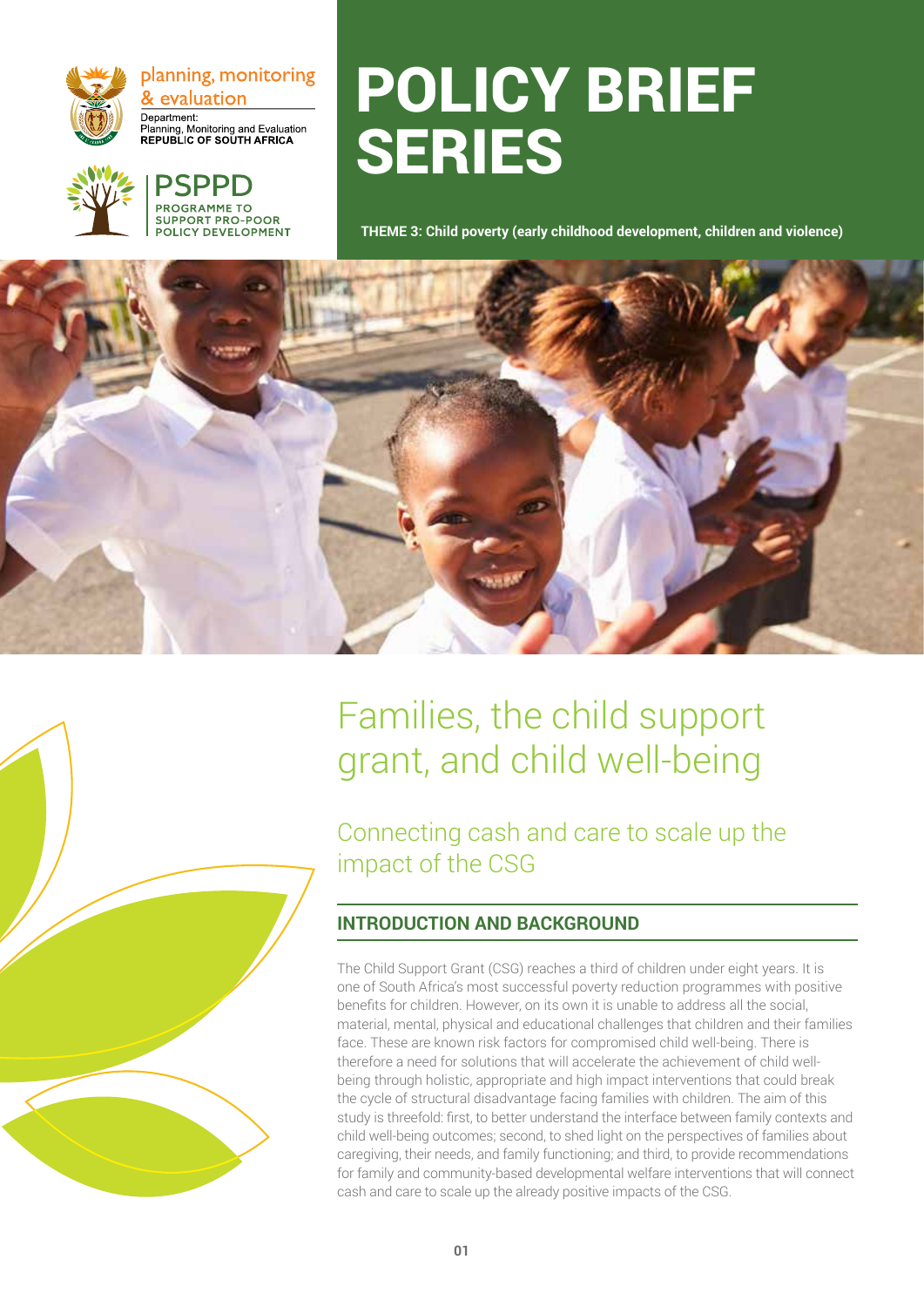

planning, monitoring & evaluation Department: Department:<br>Planning, Monitoring and Evaluation<br>REPUBLIC OF SOUTH AFRICA



## **PROGRAMME TO** SUPPORT PRO-POOR **OLICY DEVELOPMENT**

# POLICY BRIEF SERIES

**THEME 3: Child poverty (early childhood development, children and violence)**



## Families, the child support grant, and child well-being

Connecting cash and care to scale up the impact of the CSG

## **INTRODUCTION AND BACKGROUND**

The Child Support Grant (CSG) reaches a third of children under eight years. It is one of South Africa's most successful poverty reduction programmes with positive benefits for children. However, on its own it is unable to address all the social, material, mental, physical and educational challenges that children and their families face. These are known risk factors for compromised child well-being. There is therefore a need for solutions that will accelerate the achievement of child wellbeing through holistic, appropriate and high impact interventions that could break the cycle of structural disadvantage facing families with children. The aim of this study is threefold: first, to better understand the interface between family contexts and child well-being outcomes; second, to shed light on the perspectives of families about caregiving, their needs, and family functioning; and third, to provide recommendations for family and community-based developmental welfare interventions that will connect cash and care to scale up the already positive impacts of the CSG.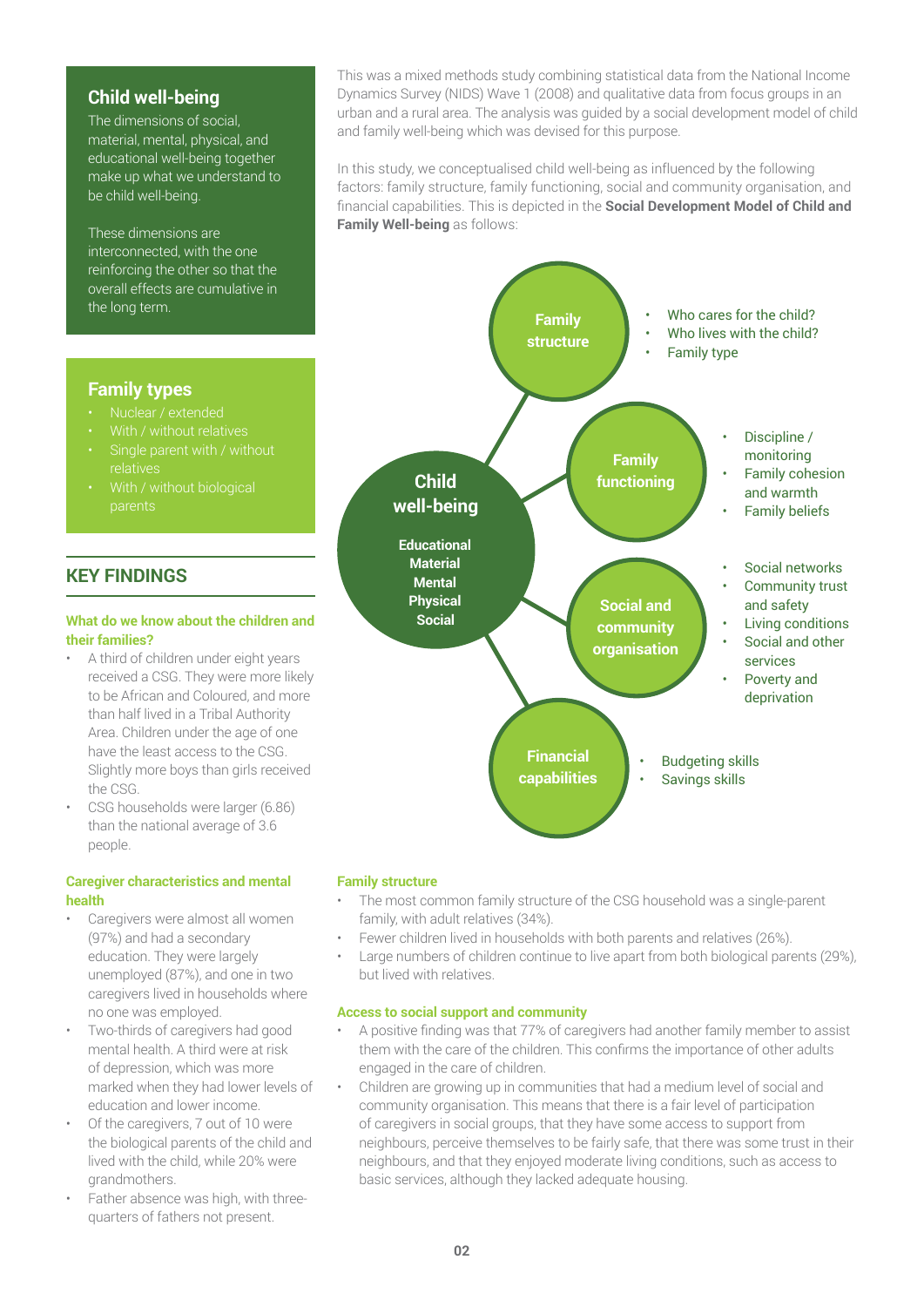### **Child well-being**

The dimensions of social, material, mental, physical, and educational well-being together make up what we understand to be child well-being.

These dimensions are interconnected, with the one reinforcing the other so that the overall effects are cumulative in the long term.

This was a mixed methods study combining statistical data from the National Income Dynamics Survey (NIDS) Wave 1 (2008) and qualitative data from focus groups in an urban and a rural area. The analysis was guided by a social development model of child and family well-being which was devised for this purpose.

In this study, we conceptualised child well-being as influenced by the following factors: family structure, family functioning, social and community organisation, and financial capabilities. This is depicted in the **Social Development Model of Child and Family Well-being** as follows:



#### **Family structure**

- The most common family structure of the CSG household was a single-parent family, with adult relatives (34%).
- Fewer children lived in households with both parents and relatives (26%).
- Large numbers of children continue to live apart from both biological parents (29%), but lived with relatives.

#### **Access to social support and community**

- A positive finding was that 77% of caregivers had another family member to assist them with the care of the children. This confirms the importance of other adults engaged in the care of children.
- Children are growing up in communities that had a medium level of social and community organisation. This means that there is a fair level of participation of caregivers in social groups, that they have some access to support from neighbours, perceive themselves to be fairly safe, that there was some trust in their neighbours, and that they enjoyed moderate living conditions, such as access to basic services, although they lacked adequate housing.

#### **Family types**

- Nuclear / extended
- With / without relatives
- relatives
- With / without biological parents

## **KEY FINDINGS**

#### **What do we know about the children and their families?**

- A third of children under eight years received a CSG. They were more likely to be African and Coloured, and more than half lived in a Tribal Authority Area. Children under the age of one have the least access to the CSG. Slightly more boys than girls received the CSG.
- CSG households were larger (6.86) than the national average of 3.6 people.

#### **Caregiver characteristics and mental health**

- Caregivers were almost all women (97%) and had a secondary education. They were largely unemployed (87%), and one in two caregivers lived in households where no one was employed.
- Two-thirds of caregivers had good mental health. A third were at risk of depression, which was more marked when they had lower levels of education and lower income.
- Of the caregivers, 7 out of 10 were the biological parents of the child and lived with the child, while 20% were grandmothers.
- Father absence was high, with threequarters of fathers not present.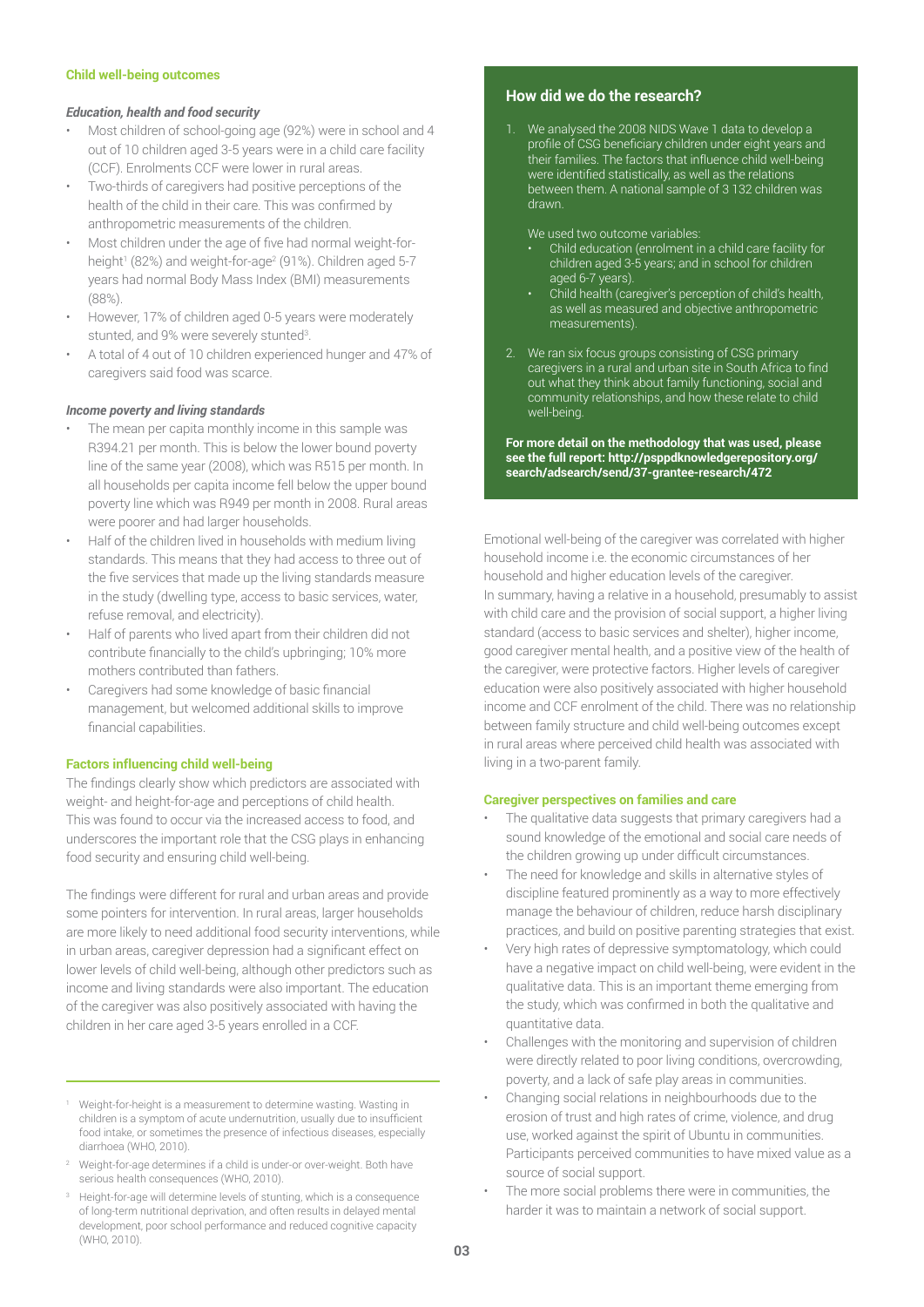#### **Child well-being outcomes**

#### *Education, health and food security*

- Most children of school-going age (92%) were in school and 4 out of 10 children aged 3-5 years were in a child care facility (CCF). Enrolments CCF were lower in rural areas.
- Two-thirds of caregivers had positive perceptions of the health of the child in their care. This was confirmed by anthropometric measurements of the children.
- Most children under the age of five had normal weight-forheight1 (82%) and weight-for-age<sup>2</sup> (91%). Children aged 5-7 years had normal Body Mass Index (BMI) measurements (88%).
- However, 17% of children aged 0-5 years were moderately stunted, and 9% were severely stunted<sup>3</sup>.
- A total of 4 out of 10 children experienced hunger and 47% of caregivers said food was scarce.

#### *Income poverty and living standards*

- The mean per capita monthly income in this sample was R394.21 per month. This is below the lower bound poverty line of the same year (2008), which was R515 per month. In all households per capita income fell below the upper bound poverty line which was R949 per month in 2008. Rural areas were poorer and had larger households.
- Half of the children lived in households with medium living standards. This means that they had access to three out of the five services that made up the living standards measure in the study (dwelling type, access to basic services, water, refuse removal, and electricity).
- Half of parents who lived apart from their children did not contribute financially to the child's upbringing; 10% more mothers contributed than fathers.
- Caregivers had some knowledge of basic financial management, but welcomed additional skills to improve financial capabilities.

#### **Factors influencing child well-being**

The findings clearly show which predictors are associated with weight- and height-for-age and perceptions of child health. This was found to occur via the increased access to food, and underscores the important role that the CSG plays in enhancing food security and ensuring child well-being.

The findings were different for rural and urban areas and provide some pointers for intervention. In rural areas, larger households are more likely to need additional food security interventions, while in urban areas, caregiver depression had a significant effect on lower levels of child well-being, although other predictors such as income and living standards were also important. The education of the caregiver was also positively associated with having the children in her care aged 3-5 years enrolled in a CCF.

- <sup>1</sup> Weight-for-height is a measurement to determine wasting. Wasting in children is a symptom of acute undernutrition, usually due to insufficient food intake, or sometimes the presence of infectious diseases, especially diarrhoea (WHO, 2010).
- <sup>2</sup> Weight-for-age determines if a child is under-or over-weight. Both have serious health consequences (WHO, 2010).
- <sup>3</sup> Height-for-age will determine levels of stunting, which is a consequence of long-term nutritional deprivation, and often results in delayed mental development, poor school performance and reduced cognitive capacity (WHO, 2010).

#### **How did we do the research?**

1. We analysed the 2008 NIDS Wave 1 data to develop a profile of CSG beneficiary children under eight years and their families. The factors that influence child well-being were identified statistically, as well as the relations between them. A national sample of 3 132 children was drawn.

We used two outcome variables:

- Child education (enrolment in a child care facility for children aged 3-5 years; and in school for children aged 6-7 years).
- Child health (caregiver's perception of child's health, as well as measured and objective anthropometric measurements).
- 2. We ran six focus groups consisting of CSG primary caregivers in a rural and urban site in South Africa to find out what they think about family functioning, social and community relationships, and how these relate to child well-being.

**For more detail on the methodology that was used, please see the full report: http://psppdknowledgerepository.org/ search/adsearch/send/37-grantee-research/472**

Emotional well-being of the caregiver was correlated with higher household income i.e. the economic circumstances of her household and higher education levels of the caregiver. In summary, having a relative in a household, presumably to assist with child care and the provision of social support, a higher living standard (access to basic services and shelter), higher income, good caregiver mental health, and a positive view of the health of the caregiver, were protective factors. Higher levels of caregiver education were also positively associated with higher household income and CCF enrolment of the child. There was no relationship between family structure and child well-being outcomes except in rural areas where perceived child health was associated with living in a two-parent family.

#### **Caregiver perspectives on families and care**

- The qualitative data suggests that primary caregivers had a sound knowledge of the emotional and social care needs of the children growing up under difficult circumstances.
- The need for knowledge and skills in alternative styles of discipline featured prominently as a way to more effectively manage the behaviour of children, reduce harsh disciplinary practices, and build on positive parenting strategies that exist.
- Very high rates of depressive symptomatology, which could have a negative impact on child well-being, were evident in the qualitative data. This is an important theme emerging from the study, which was confirmed in both the qualitative and quantitative data.
- Challenges with the monitoring and supervision of children were directly related to poor living conditions, overcrowding, poverty, and a lack of safe play areas in communities.
- Changing social relations in neighbourhoods due to the erosion of trust and high rates of crime, violence, and drug use, worked against the spirit of Ubuntu in communities. Participants perceived communities to have mixed value as a source of social support.
- The more social problems there were in communities, the harder it was to maintain a network of social support.